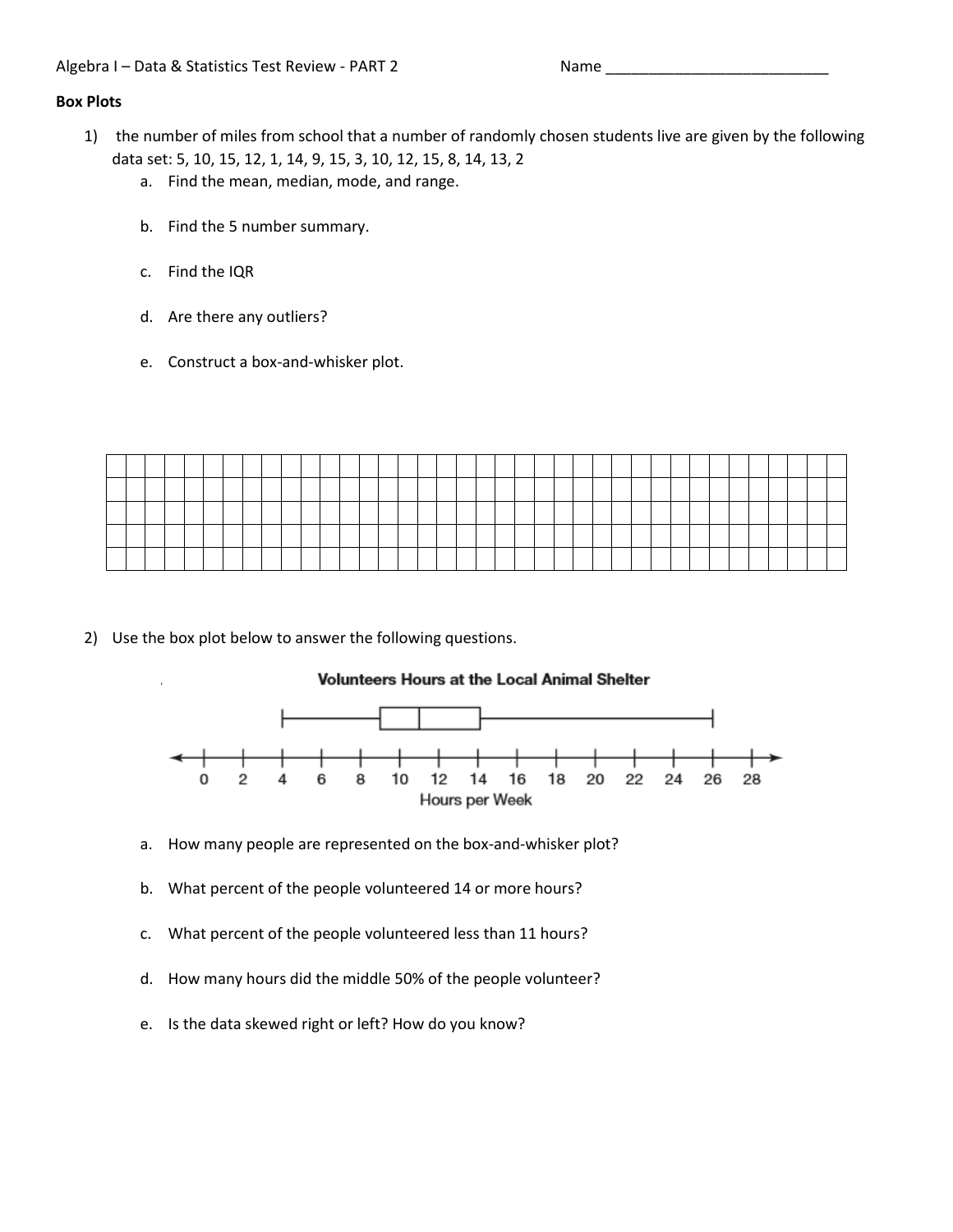# **Box Plots**

- 1) the number of miles from school that a number of randomly chosen students live are given by the following data set: 5, 10, 15, 12, 1, 14, 9, 15, 3, 10, 12, 15, 8, 14, 13, 2
	- a. Find the mean, median, mode, and range.
	- b. Find the 5 number summary.
	- c. Find the IQR
	- d. Are there any outliers?
	- e. Construct a box-and-whisker plot.

2) Use the box plot below to answer the following questions.

## **Volunteers Hours at the Local Animal Shelter**



- a. How many people are represented on the box-and-whisker plot?
- b. What percent of the people volunteered 14 or more hours?
- c. What percent of the people volunteered less than 11 hours?
- d. How many hours did the middle 50% of the people volunteer?
- e. Is the data skewed right or left? How do you know?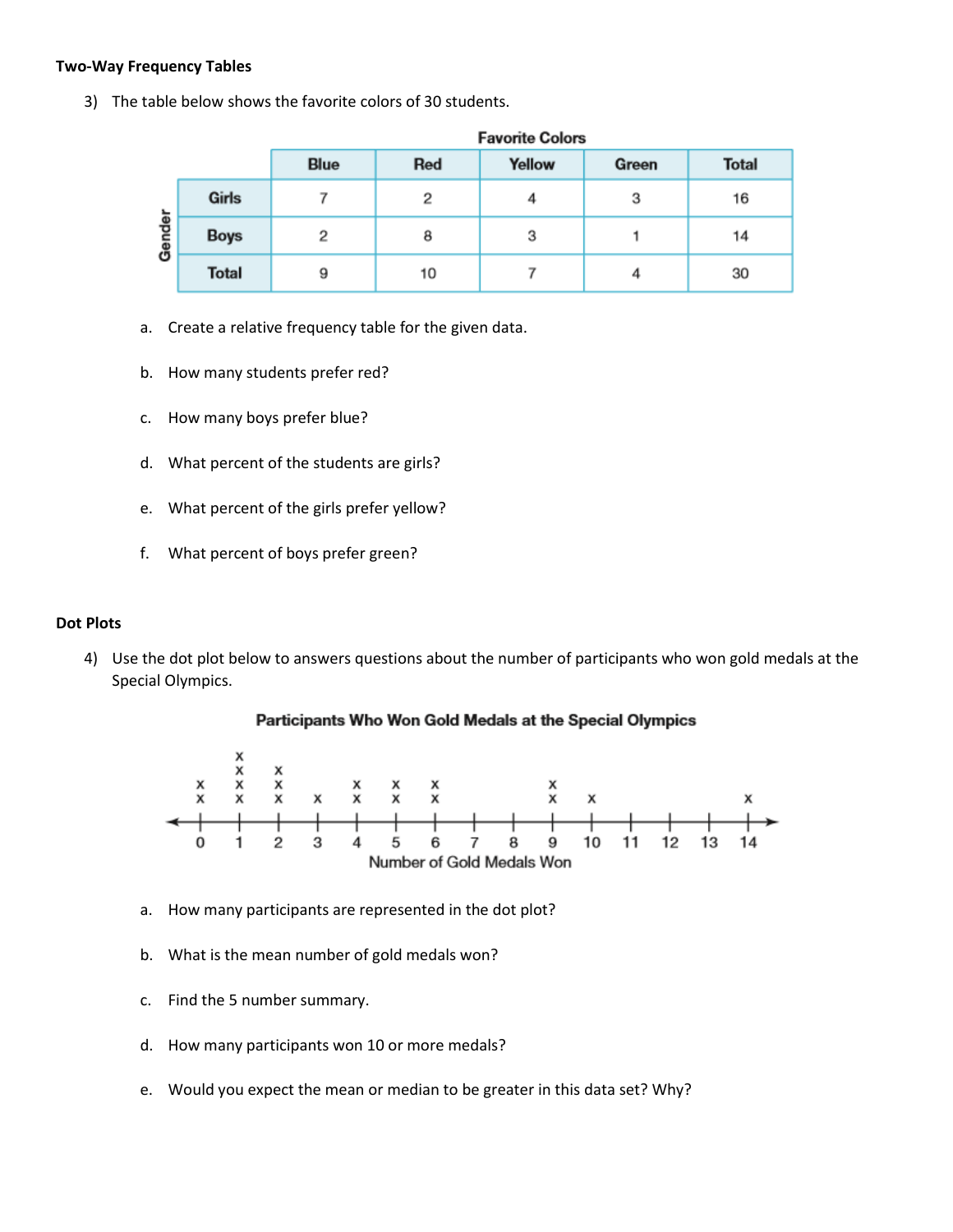## **Two-Way Frequency Tables**

3) The table below shows the favorite colors of 30 students.

|        |              |      |     | <b>Favorite Colors</b> |       |              |
|--------|--------------|------|-----|------------------------|-------|--------------|
|        |              | Blue | Red | Yellow                 | Green | <b>Total</b> |
|        | Girls        |      | 2   |                        | 3     | 16           |
| Gender | <b>Boys</b>  | 2    | 8   | з                      |       | 14           |
|        | <b>Total</b> | 9    | 10  |                        | 4     | 30           |

- a. Create a relative frequency table for the given data.
- b. How many students prefer red?
- c. How many boys prefer blue?
- d. What percent of the students are girls?
- e. What percent of the girls prefer yellow?
- f. What percent of boys prefer green?

#### **Dot Plots**

4) Use the dot plot below to answers questions about the number of participants who won gold medals at the Special Olympics.





- a. How many participants are represented in the dot plot?
- b. What is the mean number of gold medals won?
- c. Find the 5 number summary.
- d. How many participants won 10 or more medals?
- e. Would you expect the mean or median to be greater in this data set? Why?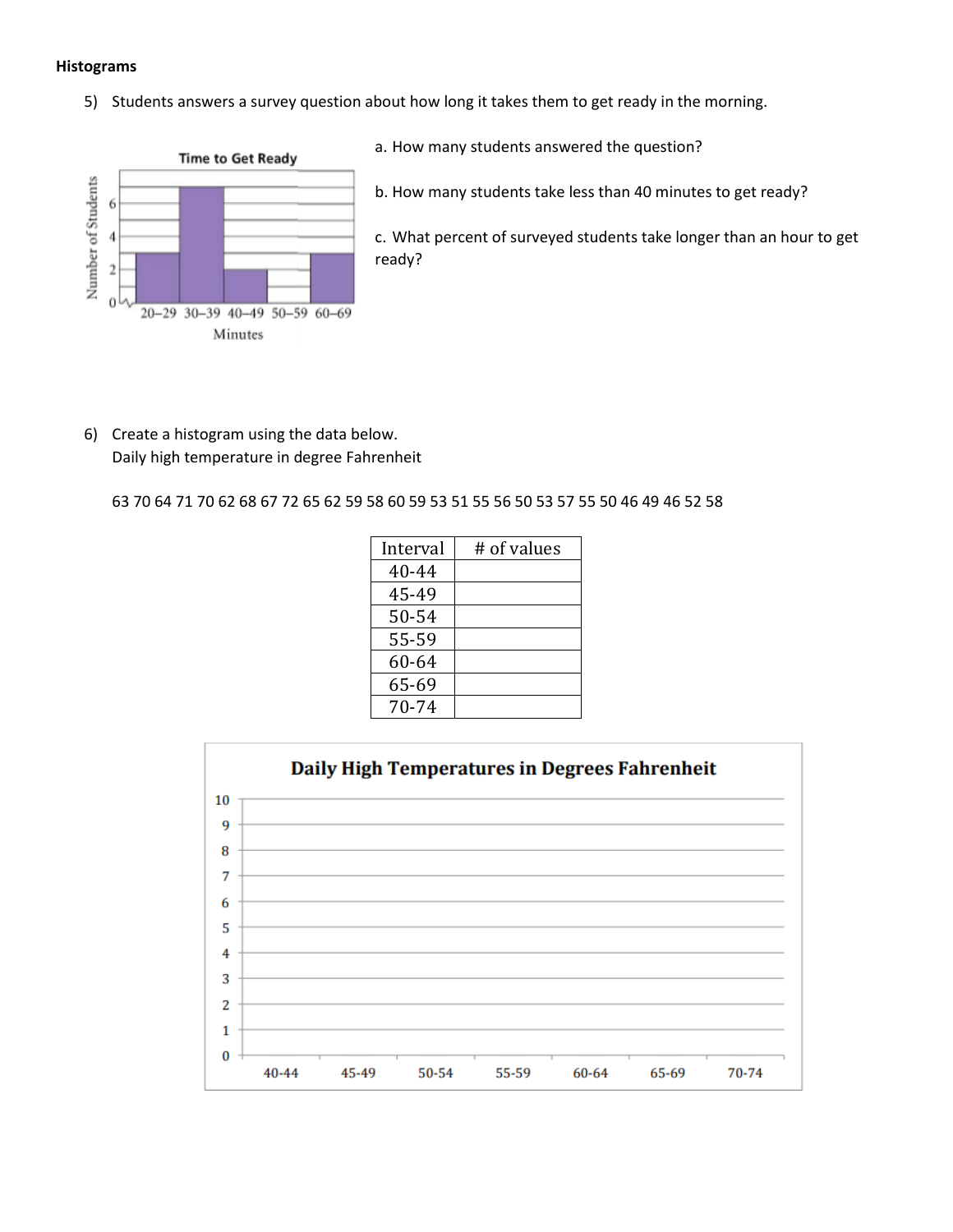#### **Histograms**

5) Students answers a survey question about how long it takes them to get ready in the morning.



- a. How many students answered the question?
- b. How many students take less than 40 minutes to get ready?

c. What percent of surveyed students take longer than an hour to get ready?

6) Create a histogram using the data below. Daily high temperature in degree Fahrenheit

63 70 64 71 70 62 68 67 72 65 62 59 58 60 59 53 51 55 56 50 53 57 55 50 46 49 46 52 58

| Interval | # of values |
|----------|-------------|
| 40-44    |             |
| 45-49    |             |
| 50-54    |             |
| 55-59    |             |
| 60-64    |             |
| 65-69    |             |
| 70-74    |             |